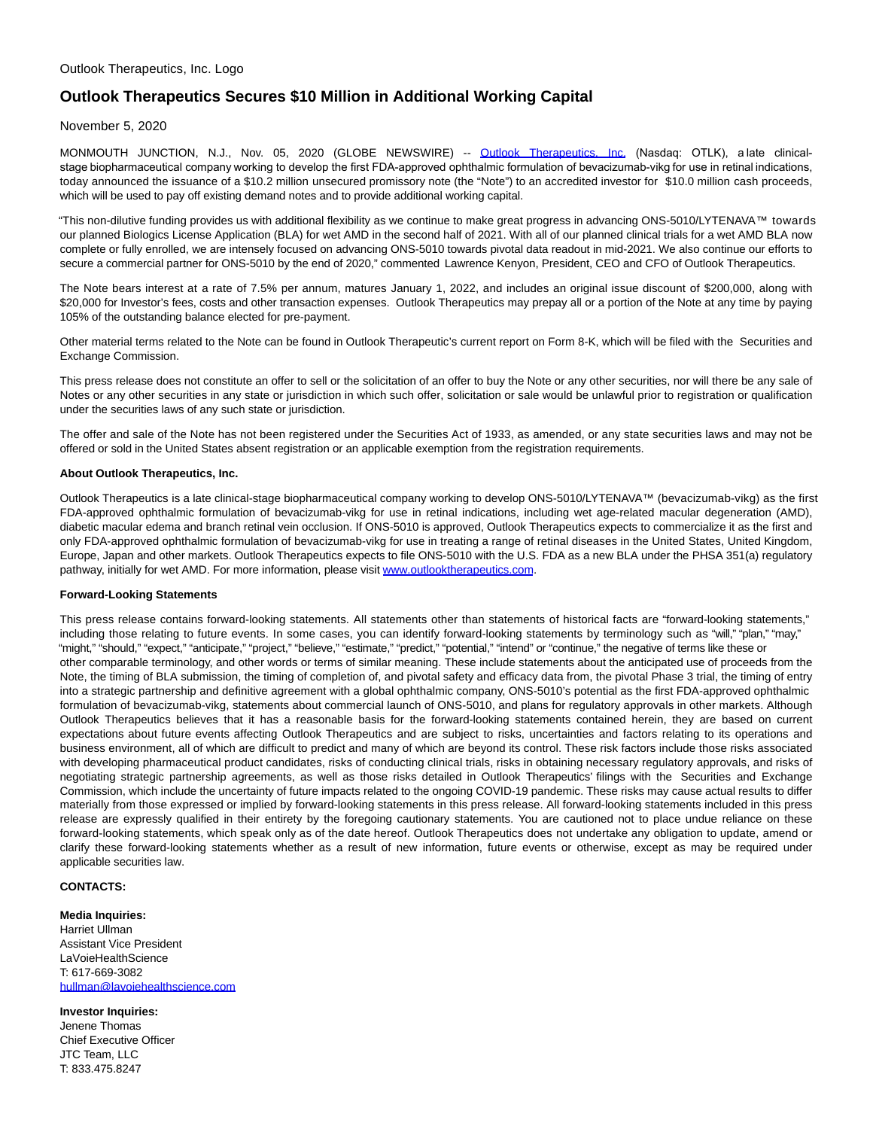# **Outlook Therapeutics Secures \$10 Million in Additional Working Capital**

### November 5, 2020

MONMOUTH JUNCTION, N.J., Nov. 05, 2020 (GLOBE NEWSWIRE) -- [Outlook Therapeutics, Inc.](https://www.globenewswire.com/Tracker?data=8f-Gak9umhrxz8KtBYa8A2wmBuC1GUE-d_O9bLSMWSe44CIIf3OtiIqqkrX3i6T7QVtcHM8ueIIpXq8BM4wBbFX0rL5qaDUko42RrWyfAJM=) (Nasdaq: OTLK), a late clinicalstage biopharmaceutical company working to develop the first FDA-approved ophthalmic formulation of bevacizumab-vikg for use in retinal indications, today announced the issuance of a \$10.2 million unsecured promissory note (the "Note") to an accredited investor for \$10.0 million cash proceeds, which will be used to pay off existing demand notes and to provide additional working capital.

"This non-dilutive funding provides us with additional flexibility as we continue to make great progress in advancing ONS-5010/LYTENAVA™ towards our planned Biologics License Application (BLA) for wet AMD in the second half of 2021. With all of our planned clinical trials for a wet AMD BLA now complete or fully enrolled, we are intensely focused on advancing ONS-5010 towards pivotal data readout in mid-2021. We also continue our efforts to secure a commercial partner for ONS-5010 by the end of 2020," commented Lawrence Kenyon, President, CEO and CFO of Outlook Therapeutics.

The Note bears interest at a rate of 7.5% per annum, matures January 1, 2022, and includes an original issue discount of \$200,000, along with \$20,000 for Investor's fees, costs and other transaction expenses. Outlook Therapeutics may prepay all or a portion of the Note at any time by paying 105% of the outstanding balance elected for pre-payment.

Other material terms related to the Note can be found in Outlook Therapeutic's current report on Form 8-K, which will be filed with the Securities and Exchange Commission.

This press release does not constitute an offer to sell or the solicitation of an offer to buy the Note or any other securities, nor will there be any sale of Notes or any other securities in any state or jurisdiction in which such offer, solicitation or sale would be unlawful prior to registration or qualification under the securities laws of any such state or jurisdiction.

The offer and sale of the Note has not been registered under the Securities Act of 1933, as amended, or any state securities laws and may not be offered or sold in the United States absent registration or an applicable exemption from the registration requirements.

### **About Outlook Therapeutics, Inc.**

Outlook Therapeutics is a late clinical-stage biopharmaceutical company working to develop ONS-5010/LYTENAVA™ (bevacizumab-vikg) as the first FDA-approved ophthalmic formulation of bevacizumab-vikg for use in retinal indications, including wet age-related macular degeneration (AMD), diabetic macular edema and branch retinal vein occlusion. If ONS-5010 is approved, Outlook Therapeutics expects to commercialize it as the first and only FDA-approved ophthalmic formulation of bevacizumab-vikg for use in treating a range of retinal diseases in the United States, United Kingdom, Europe, Japan and other markets. Outlook Therapeutics expects to file ONS-5010 with the U.S. FDA as a new BLA under the PHSA 351(a) regulatory pathway, initially for wet AMD. For more information, please visit [www.outlooktherapeutics.com.](https://www.globenewswire.com/Tracker?data=LHRxQEBY2o8bVZf1Yo9072-VD69FG4FUnkdFA9_xEB3mSUfMn7i7w5ciZBgolQ-ebktngYAEhMHIMK6qTuAYPRPyYy_G6KQtbqu4dgZn8JCOKRPxZ-aLIdvKjVlXHMwj)

### **Forward-Looking Statements**

This press release contains forward-looking statements. All statements other than statements of historical facts are "forward-looking statements," including those relating to future events. In some cases, you can identify forward-looking statements by terminology such as "will," "plan," "may," "might," "should," "expect," "anticipate," "project," "believe," "estimate," "predict," "potential," "intend" or "continue," the negative of terms like these or other comparable terminology, and other words or terms of similar meaning. These include statements about the anticipated use of proceeds from the Note, the timing of BLA submission, the timing of completion of, and pivotal safety and efficacy data from, the pivotal Phase 3 trial, the timing of entry into a strategic partnership and definitive agreement with a global ophthalmic company, ONS-5010's potential as the first FDA-approved ophthalmic formulation of bevacizumab-vikg, statements about commercial launch of ONS-5010, and plans for regulatory approvals in other markets. Although Outlook Therapeutics believes that it has a reasonable basis for the forward-looking statements contained herein, they are based on current expectations about future events affecting Outlook Therapeutics and are subject to risks, uncertainties and factors relating to its operations and business environment, all of which are difficult to predict and many of which are beyond its control. These risk factors include those risks associated with developing pharmaceutical product candidates, risks of conducting clinical trials, risks in obtaining necessary regulatory approvals, and risks of negotiating strategic partnership agreements, as well as those risks detailed in Outlook Therapeutics' filings with the Securities and Exchange Commission, which include the uncertainty of future impacts related to the ongoing COVID-19 pandemic. These risks may cause actual results to differ materially from those expressed or implied by forward-looking statements in this press release. All forward-looking statements included in this press release are expressly qualified in their entirety by the foregoing cautionary statements. You are cautioned not to place undue reliance on these forward-looking statements, which speak only as of the date hereof. Outlook Therapeutics does not undertake any obligation to update, amend or clarify these forward-looking statements whether as a result of new information, future events or otherwise, except as may be required under applicable securities law.

## **CONTACTS:**

#### **Media Inquiries:** Harriet Ullman Assistant Vice President LaVoieHealthScience T: 617-669-3082 [hullman@lavoiehealthscience.com](https://www.globenewswire.com/Tracker?data=9582WsjBNuD9wOFIvc5YmziCHOGeRU8BWNAg9m5gC62nii_OSAjs8uiJjJhHKnArr79U0NEVAYjWANYkrOWrqiOx_6-J965cA9eb9ApN_GVFLD50u6UYWB8aHdxoDtI4)

**Investor Inquiries:** Jenene Thomas Chief Executive Officer JTC Team, LLC T: 833.475.8247